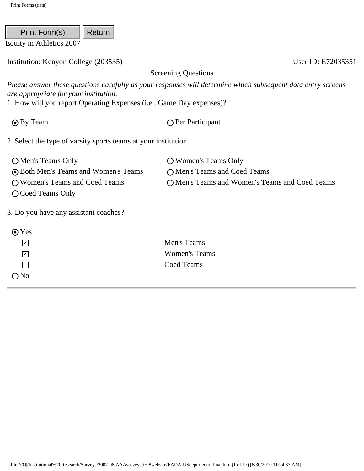Institution: Kenyon College (203535) User ID: E72035351

| Print Form(s)                                                                                                 | Return |                                                                                                                                         |
|---------------------------------------------------------------------------------------------------------------|--------|-----------------------------------------------------------------------------------------------------------------------------------------|
| Equity in Athletics 2007                                                                                      |        |                                                                                                                                         |
| Institution: Kenyon College (203535)                                                                          |        | User ID: E720                                                                                                                           |
|                                                                                                               |        | <b>Screening Questions</b>                                                                                                              |
| are appropriate for your institution.<br>1. How will you report Operating Expenses (i.e., Game Day expenses)? |        | Please answer these questions carefully as your responses will determine which subsequent data entry scree                              |
| <b>⊙</b> By Team                                                                                              |        | ○ Per Participant                                                                                                                       |
| 2. Select the type of varsity sports teams at your institution.                                               |        |                                                                                                                                         |
| O Men's Teams Only                                                                                            |        | ○ Women's Teams Only                                                                                                                    |
| <b>O</b> Both Men's Teams and Women's Teams                                                                   |        | O Men's Teams and Coed Teams                                                                                                            |
| O Women's Teams and Coed Teams<br>O Coed Teams Only                                                           |        | O Men's Teams and Women's Teams and Coed Teams                                                                                          |
| 3. Do you have any assistant coaches?                                                                         |        |                                                                                                                                         |
| $\odot$ Yes                                                                                                   |        |                                                                                                                                         |
| $\sqrt{2}$                                                                                                    |        | Men's Teams                                                                                                                             |
| $\mathbf{v}$                                                                                                  |        | <b>Women's Teams</b>                                                                                                                    |
| П                                                                                                             |        | Coed Teams                                                                                                                              |
| $\bigcirc$ No                                                                                                 |        |                                                                                                                                         |
|                                                                                                               |        |                                                                                                                                         |
|                                                                                                               |        |                                                                                                                                         |
|                                                                                                               |        |                                                                                                                                         |
|                                                                                                               |        |                                                                                                                                         |
|                                                                                                               |        |                                                                                                                                         |
|                                                                                                               |        |                                                                                                                                         |
|                                                                                                               |        |                                                                                                                                         |
|                                                                                                               |        |                                                                                                                                         |
|                                                                                                               |        |                                                                                                                                         |
|                                                                                                               |        | file:///O /Institutional%20Research/Surveys/2007-08/AAAsurveys0708website/EADA-USdeptofeduc-final.htm (1 of 17) [6/30/2010 11:24:33 AM] |

| $\odot$ Yes                 |                      |
|-----------------------------|----------------------|
| l۷l                         | Men's Teams          |
| $\vert\bm{\mathsf{v}}\vert$ | <b>Women's Teams</b> |
|                             | Coed Teams           |
| ONo                         |                      |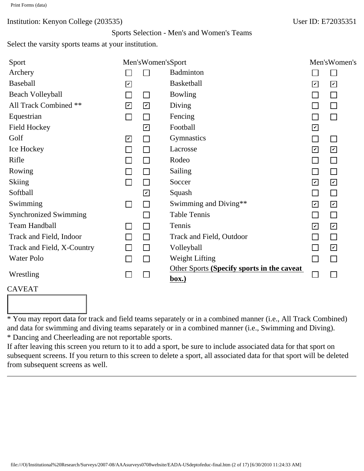#### Sports Selection - Men's and Women's Teams

Select the varsity sports teams at your institution.

| Sport                                                                                     |                         | Men'sWomen'sSport           |                                                                                                                                                                                                                                                                                                                                                                                                                                                                         |                          | Men'sWomen's                |
|-------------------------------------------------------------------------------------------|-------------------------|-----------------------------|-------------------------------------------------------------------------------------------------------------------------------------------------------------------------------------------------------------------------------------------------------------------------------------------------------------------------------------------------------------------------------------------------------------------------------------------------------------------------|--------------------------|-----------------------------|
| Archery                                                                                   |                         | $\mathcal{L}_{\mathcal{A}}$ | <b>Badminton</b>                                                                                                                                                                                                                                                                                                                                                                                                                                                        |                          | $\Box$                      |
| <b>Baseball</b>                                                                           | $\boxed{\check{}}$      |                             | <b>Basketball</b>                                                                                                                                                                                                                                                                                                                                                                                                                                                       | $\overline{\mathbf{v}}$  | $\boxed{\check{}}$          |
| Beach Volleyball                                                                          | $\Box$                  | $\Box$                      | <b>Bowling</b>                                                                                                                                                                                                                                                                                                                                                                                                                                                          |                          | $\Box$                      |
| All Track Combined **                                                                     | $\overline{\mathbf{v}}$ | $\boxed{\mathbf{v}}$        | Diving                                                                                                                                                                                                                                                                                                                                                                                                                                                                  |                          | $\Box$                      |
| Equestrian                                                                                | $\Box$                  | $\Box$                      | Fencing                                                                                                                                                                                                                                                                                                                                                                                                                                                                 |                          | $\Box$                      |
| <b>Field Hockey</b>                                                                       |                         | $\boxed{\mathcal{L}}$       | Football                                                                                                                                                                                                                                                                                                                                                                                                                                                                | $\vert\checkmark\vert$   |                             |
| Golf                                                                                      | $\mathbf{v}$            | $\mathcal{L}_{\mathcal{A}}$ | Gymnastics                                                                                                                                                                                                                                                                                                                                                                                                                                                              |                          | $\Box$                      |
| Ice Hockey                                                                                |                         | $\Box$                      | Lacrosse                                                                                                                                                                                                                                                                                                                                                                                                                                                                | $\boxed{\checkmark}$     | $\mathbf{v}$                |
| Rifle                                                                                     |                         | $\Box$                      | Rodeo                                                                                                                                                                                                                                                                                                                                                                                                                                                                   |                          | $\Box$                      |
| Rowing                                                                                    |                         | П                           | <b>Sailing</b>                                                                                                                                                                                                                                                                                                                                                                                                                                                          |                          | $\Box$                      |
| <b>Skiing</b>                                                                             | $\Box$                  | $\Box$                      | Soccer                                                                                                                                                                                                                                                                                                                                                                                                                                                                  | $\blacktriangledown$     | $\mathbf{v}$                |
| Softball                                                                                  |                         | $\boxed{\check{}}$          | Squash                                                                                                                                                                                                                                                                                                                                                                                                                                                                  | $\Box$                   | $\Box$                      |
| Swimming                                                                                  | ⊔                       | $\Box$                      | Swimming and Diving**                                                                                                                                                                                                                                                                                                                                                                                                                                                   | $\boxed{\mathcal{L}}$    | $\vert\mathbf{v}\vert$      |
| <b>Synchronized Swimming</b>                                                              |                         | $\mathbb{Z}^2$              | <b>Table Tennis</b>                                                                                                                                                                                                                                                                                                                                                                                                                                                     | $\Box$                   | $\Box$                      |
| <b>Team Handball</b>                                                                      |                         | $\Box$                      | Tennis                                                                                                                                                                                                                                                                                                                                                                                                                                                                  | $\blacktriangledown$     | $\sqrt{2}$                  |
| Track and Field, Indoor                                                                   | П                       | $\Box$                      | Track and Field, Outdoor                                                                                                                                                                                                                                                                                                                                                                                                                                                |                          | $\Box$                      |
| Track and Field, X-Country                                                                |                         | $\Box$                      | Volleyball                                                                                                                                                                                                                                                                                                                                                                                                                                                              | $\overline{\phantom{a}}$ | $\mathbf{v}$                |
| <b>Water Polo</b>                                                                         | $\Box$                  | $\Box$                      | <b>Weight Lifting</b>                                                                                                                                                                                                                                                                                                                                                                                                                                                   | П                        | $\Box$                      |
| Wrestling                                                                                 |                         | $\Box$                      | Other Sports (Specify sports in the caveat<br>box.)                                                                                                                                                                                                                                                                                                                                                                                                                     | $\Box$                   | $\mathcal{L}_{\mathcal{A}}$ |
| <b>CAVEAT</b>                                                                             |                         |                             |                                                                                                                                                                                                                                                                                                                                                                                                                                                                         |                          |                             |
|                                                                                           |                         |                             |                                                                                                                                                                                                                                                                                                                                                                                                                                                                         |                          |                             |
|                                                                                           |                         |                             |                                                                                                                                                                                                                                                                                                                                                                                                                                                                         |                          |                             |
| * Dancing and Cheerleading are not reportable sports.<br>from subsequent screens as well. |                         |                             | * You may report data for track and field teams separately or in a combined manner (i.e., All Track Combined)<br>and data for swimming and diving teams separately or in a combined manner (i.e., Swimming and Diving).<br>If after leaving this screen you return to it to add a sport, be sure to include associated data for that sport on<br>subsequent screens. If you return to this screen to delete a sport, all associated data for that sport will be deleted |                          |                             |
|                                                                                           |                         |                             | file:///O /Institutional%20Research/Surveys/2007-08/AAAsurveys0708website/EADA-USdeptofeduc-final.htm (2 of 17) [6/30/2010 11:24:33 AM]                                                                                                                                                                                                                                                                                                                                 |                          |                             |

#### CAVEAT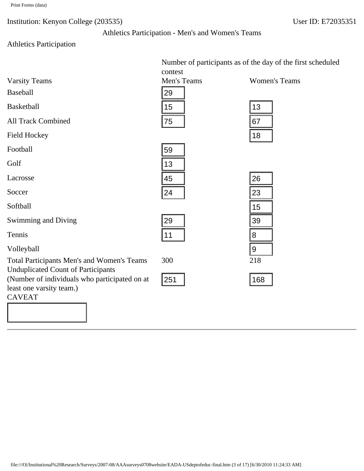Athletics Participation - Men's and Women's Teams

# Athletics Participation

|                                                                                                                                                                                              | Number of participants as of the day of the first scheduled |                      |  |
|----------------------------------------------------------------------------------------------------------------------------------------------------------------------------------------------|-------------------------------------------------------------|----------------------|--|
|                                                                                                                                                                                              | contest                                                     |                      |  |
| <b>Varsity Teams</b>                                                                                                                                                                         | Men's Teams                                                 | <b>Women's Teams</b> |  |
| <b>Baseball</b>                                                                                                                                                                              | 29                                                          |                      |  |
| Basketball                                                                                                                                                                                   | 15                                                          | 13                   |  |
| <b>All Track Combined</b>                                                                                                                                                                    | 75                                                          | 67                   |  |
| <b>Field Hockey</b>                                                                                                                                                                          |                                                             | 18                   |  |
| Football                                                                                                                                                                                     | 59                                                          |                      |  |
| Golf                                                                                                                                                                                         | 13                                                          |                      |  |
| Lacrosse                                                                                                                                                                                     | 45                                                          | 26                   |  |
| Soccer                                                                                                                                                                                       | 24                                                          | 23                   |  |
| Softball                                                                                                                                                                                     |                                                             | 15                   |  |
| <b>Swimming and Diving</b>                                                                                                                                                                   | 29                                                          | 39                   |  |
| Tennis                                                                                                                                                                                       | 11                                                          | 8                    |  |
| Volleyball                                                                                                                                                                                   |                                                             | $\boldsymbol{9}$     |  |
| <b>Total Participants Men's and Women's Teams</b><br><b>Unduplicated Count of Participants</b><br>(Number of individuals who participated on at<br>least one varsity team.)<br><b>CAVEAT</b> | 300<br>251                                                  | 218<br>168           |  |
|                                                                                                                                                                                              |                                                             |                      |  |
| file:///O /Institutional%20Research/Surveys/2007-08/AAAsurveys0708website/EADA-USdeptofeduc-final.htm (3 of 17) [6/30/2010 11:24:33 AM]                                                      |                                                             |                      |  |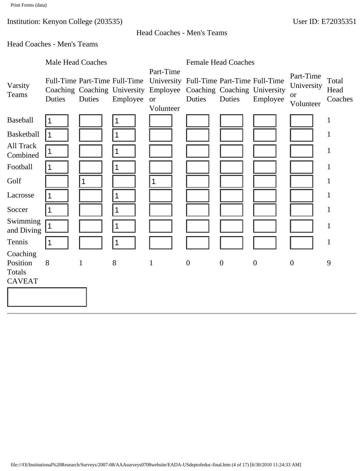Head Coaches - Men's Teams

# Head Coaches - Men's Teams

|                        | <b>Male Head Coaches</b> |              |                                           |                                                                                                                                                       |                  | <b>Female Head Coaches</b> |                  |                                                   |                          |
|------------------------|--------------------------|--------------|-------------------------------------------|-------------------------------------------------------------------------------------------------------------------------------------------------------|------------------|----------------------------|------------------|---------------------------------------------------|--------------------------|
| Varsity<br>Teams       | Duties                   | Duties       | Full-Time Part-Time Full-Time<br>Employee | Part-Time<br>University Full-Time Part-Time Full-Time<br>Coaching Coaching University Employee Coaching Coaching University<br><b>or</b><br>Volunteer | Duties           | Duties                     | Employee         | Part-Time<br>University<br><b>or</b><br>Volunteer | Total<br>Head<br>Coaches |
| Baseball               | 1                        |              |                                           |                                                                                                                                                       |                  |                            |                  |                                                   | $\mathbf{1}$             |
| Basketball             | $\vert$ 1                |              | $\mathbf 1$                               |                                                                                                                                                       |                  |                            |                  |                                                   | 1                        |
| All Track<br>Combined  | $\vert$ 1                |              |                                           |                                                                                                                                                       |                  |                            |                  |                                                   | $\mathbf{1}$             |
| Football               | 1                        |              | 1                                         |                                                                                                                                                       |                  |                            |                  |                                                   | $\mathbf{1}$             |
| Golf                   |                          | $\mathbf 1$  |                                           | $\mathbf 1$                                                                                                                                           |                  |                            |                  |                                                   | $\mathbf{1}$             |
| Lacrosse               | $\mathbf 1$              |              | 1                                         |                                                                                                                                                       |                  |                            |                  |                                                   | $\mathbf{1}$             |
| Soccer                 | $\mathbf 1$              |              | $\mathbf 1$                               |                                                                                                                                                       |                  |                            |                  |                                                   | $\mathbf{1}$             |
| Swimming<br>and Diving | $\mathbf{1}$             |              | 1                                         |                                                                                                                                                       |                  |                            |                  |                                                   | $\mathbf{1}$             |
| Tennis                 | ∣1                       |              | $\mathbf 1$                               |                                                                                                                                                       |                  |                            |                  |                                                   | $\mathbf{1}$             |
| Coaching               |                          |              |                                           |                                                                                                                                                       |                  |                            |                  |                                                   |                          |
| Position<br>Totals     | 8                        | $\mathbf{1}$ | 8                                         | $\mathbf{1}$                                                                                                                                          | $\boldsymbol{0}$ | $\boldsymbol{0}$           | $\boldsymbol{0}$ | $\mathbf{0}$                                      | 9                        |
| <b>CAVEAT</b>          |                          |              |                                           |                                                                                                                                                       |                  |                            |                  |                                                   |                          |
|                        |                          |              |                                           |                                                                                                                                                       |                  |                            |                  |                                                   |                          |
|                        |                          |              |                                           |                                                                                                                                                       |                  |                            |                  |                                                   |                          |
|                        |                          |              |                                           |                                                                                                                                                       |                  |                            |                  |                                                   |                          |
|                        |                          |              |                                           |                                                                                                                                                       |                  |                            |                  |                                                   |                          |
|                        |                          |              |                                           |                                                                                                                                                       |                  |                            |                  |                                                   |                          |
|                        |                          |              |                                           |                                                                                                                                                       |                  |                            |                  |                                                   |                          |
|                        |                          |              |                                           |                                                                                                                                                       |                  |                            |                  |                                                   |                          |
|                        |                          |              |                                           |                                                                                                                                                       |                  |                            |                  |                                                   |                          |
|                        |                          |              |                                           |                                                                                                                                                       |                  |                            |                  |                                                   |                          |
|                        |                          |              |                                           |                                                                                                                                                       |                  |                            |                  |                                                   |                          |
|                        |                          |              |                                           |                                                                                                                                                       |                  |                            |                  |                                                   |                          |
|                        |                          |              |                                           |                                                                                                                                                       |                  |                            |                  |                                                   |                          |
|                        |                          |              |                                           | file:///O /Institutional%20Research/Surveys/2007-08/AAAsurveys0708website/EADA-USdeptofeduc-final.htm (4 of 17) [6/30/2010 11:24:33 AM]               |                  |                            |                  |                                                   |                          |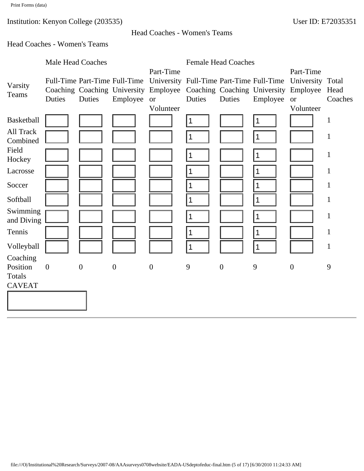## Head Coaches - Women's Teams

## Head Coaches - Women's Teams

|                                | <b>Male Head Coaches</b> |                  |                               |                                                                                                                                           | <b>Female Head Coaches</b> |                  |          |                               |              |
|--------------------------------|--------------------------|------------------|-------------------------------|-------------------------------------------------------------------------------------------------------------------------------------------|----------------------------|------------------|----------|-------------------------------|--------------|
| Varsity                        |                          |                  | Full-Time Part-Time Full-Time | Part-Time<br>University Full-Time Part-Time Full-Time<br>Coaching Coaching University Employee Coaching Coaching University Employee Head |                            |                  |          | Part-Time<br>University Total |              |
| Teams                          | Duties                   | Duties           | Employee                      | <b>or</b><br>Volunteer                                                                                                                    | Duties                     | Duties           | Employee | <b>or</b><br>Volunteer        | Coaches      |
| <b>Basketball</b>              |                          |                  |                               |                                                                                                                                           | $\mathbf 1$                |                  |          |                               | $\mathbf{1}$ |
| All Track<br>Combined          |                          |                  |                               |                                                                                                                                           | $\mathbf 1$                |                  | 1        |                               | $\mathbf{1}$ |
| Field<br>Hockey                |                          |                  |                               |                                                                                                                                           | $\mathbf 1$                |                  |          |                               | $\mathbf{1}$ |
| Lacrosse                       |                          |                  |                               |                                                                                                                                           | $\mathbf 1$                |                  |          |                               | $\mathbf{1}$ |
| Soccer                         |                          |                  |                               |                                                                                                                                           | $\mathbf{1}$               |                  |          |                               | $\mathbf{1}$ |
| Softball                       |                          |                  |                               |                                                                                                                                           | $\mathbf 1$                |                  |          |                               | $\mathbf{1}$ |
| Swimming<br>and Diving         |                          |                  |                               |                                                                                                                                           | $\mathbf 1$                |                  | 1        |                               | $\mathbf 1$  |
| Tennis                         |                          |                  |                               |                                                                                                                                           | $\mathbf 1$                |                  | 1        |                               | $\mathbf{1}$ |
| Volleyball                     |                          |                  |                               |                                                                                                                                           | $\mathbf{1}$               |                  | 1        |                               | $\mathbf{1}$ |
| Coaching<br>Position<br>Totals | $\boldsymbol{0}$         | $\boldsymbol{0}$ | $\boldsymbol{0}$              | $\boldsymbol{0}$                                                                                                                          | 9                          | $\boldsymbol{0}$ | 9        | $\boldsymbol{0}$              | 9            |
| <b>CAVEAT</b>                  |                          |                  |                               |                                                                                                                                           |                            |                  |          |                               |              |
|                                |                          |                  |                               |                                                                                                                                           |                            |                  |          |                               |              |
|                                |                          |                  |                               |                                                                                                                                           |                            |                  |          |                               |              |
|                                |                          |                  |                               |                                                                                                                                           |                            |                  |          |                               |              |
|                                |                          |                  |                               |                                                                                                                                           |                            |                  |          |                               |              |
|                                |                          |                  |                               |                                                                                                                                           |                            |                  |          |                               |              |
|                                |                          |                  |                               |                                                                                                                                           |                            |                  |          |                               |              |
|                                |                          |                  |                               |                                                                                                                                           |                            |                  |          |                               |              |
|                                |                          |                  |                               |                                                                                                                                           |                            |                  |          |                               |              |
|                                |                          |                  |                               |                                                                                                                                           |                            |                  |          |                               |              |
|                                |                          |                  |                               |                                                                                                                                           |                            |                  |          |                               |              |
|                                |                          |                  |                               | file:///O /Institutional%20Research/Surveys/2007-08/AAAsurveys0708website/EADA-USdeptofeduc-final.htm (5 of 17) [6/30/2010 11:24:33 AM]   |                            |                  |          |                               |              |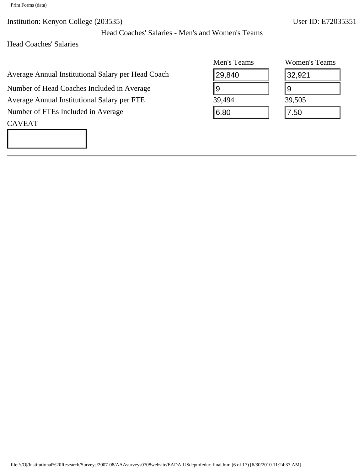Print Forms (data)

Institution: Kenyon College (203535) User ID: E72035351

Head Coaches' Salaries

## CAVEAT

|                                                                                                                                         | Men's Teams     | <b>Women's Teams</b> |
|-----------------------------------------------------------------------------------------------------------------------------------------|-----------------|----------------------|
| verage Annual Institutional Salary per Head Coach                                                                                       | 29,840          | 32,921               |
| Jumber of Head Coaches Included in Average                                                                                              | $9\phantom{.0}$ | 9                    |
| verage Annual Institutional Salary per FTE                                                                                              | 39,494          | 39,505               |
| Jumber of FTEs Included in Average                                                                                                      | 6.80            | 7.50                 |
| <b>AVEAT</b>                                                                                                                            |                 |                      |
|                                                                                                                                         |                 |                      |
|                                                                                                                                         |                 |                      |
|                                                                                                                                         |                 |                      |
|                                                                                                                                         |                 |                      |
|                                                                                                                                         |                 |                      |
|                                                                                                                                         |                 |                      |
|                                                                                                                                         |                 |                      |
|                                                                                                                                         |                 |                      |
|                                                                                                                                         |                 |                      |
|                                                                                                                                         |                 |                      |
|                                                                                                                                         |                 |                      |
|                                                                                                                                         |                 |                      |
|                                                                                                                                         |                 |                      |
|                                                                                                                                         |                 |                      |
|                                                                                                                                         |                 |                      |
|                                                                                                                                         |                 |                      |
|                                                                                                                                         |                 |                      |
|                                                                                                                                         |                 |                      |
|                                                                                                                                         |                 |                      |
|                                                                                                                                         |                 |                      |
|                                                                                                                                         |                 |                      |
|                                                                                                                                         |                 |                      |
|                                                                                                                                         |                 |                      |
|                                                                                                                                         |                 |                      |
|                                                                                                                                         |                 |                      |
|                                                                                                                                         |                 |                      |
|                                                                                                                                         |                 |                      |
|                                                                                                                                         |                 |                      |
|                                                                                                                                         |                 |                      |
| file:///O /Institutional%20Research/Surveys/2007-08/AAAsurveys0708website/EADA-USdeptofeduc-final.htm (6 of 17) [6/30/2010 11:24:33 AM] |                 |                      |

| Women's Teams |
|---------------|
| 32,921        |
| g             |
| 39,505        |
| 7.50          |

Head Coaches' Salaries - Men's and Women's Teams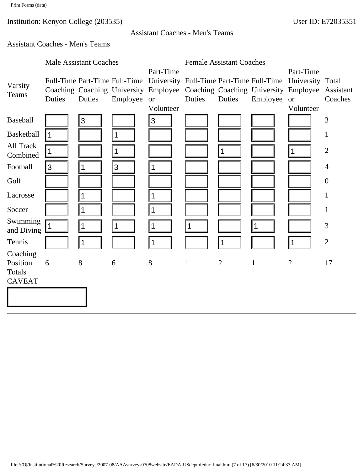## Assistant Coaches - Men's Teams

# Assistant Coaches - Men's Teams

|                       |                | <b>Male Assistant Coaches</b> |                               | <b>Female Assistant Coaches</b>                                                                                                         |              |                |              |                                                                                       |                  |
|-----------------------|----------------|-------------------------------|-------------------------------|-----------------------------------------------------------------------------------------------------------------------------------------|--------------|----------------|--------------|---------------------------------------------------------------------------------------|------------------|
|                       |                |                               |                               | Part-Time                                                                                                                               |              |                |              | Part-Time                                                                             |                  |
| Varsity               |                |                               | Full-Time Part-Time Full-Time |                                                                                                                                         |              |                |              | University Full-Time Part-Time Full-Time University Total                             |                  |
| Teams                 |                |                               |                               |                                                                                                                                         |              |                |              | Coaching Coaching University Employee Coaching Coaching University Employee Assistant |                  |
|                       | Duties         | Duties                        | Employee                      | <b>or</b>                                                                                                                               | Duties       | Duties         | Employee     | <b>or</b>                                                                             | Coaches          |
|                       |                |                               |                               | Volunteer                                                                                                                               |              |                |              | Volunteer                                                                             |                  |
| Baseball              |                | 3                             |                               | $\mathfrak{S}$                                                                                                                          |              |                |              |                                                                                       | 3                |
| <b>Basketball</b>     | $\vert$ 1      |                               | 1                             |                                                                                                                                         |              |                |              |                                                                                       | $\mathbf{1}$     |
| All Track<br>Combined | $\vert$ 1      |                               |                               |                                                                                                                                         |              | 1              |              | 1                                                                                     | $\mathbf{2}$     |
| Football              | $\overline{3}$ | $\mathbf 1$                   | $\mathbf{3}$                  | 1                                                                                                                                       |              |                |              |                                                                                       | $\overline{4}$   |
| Golf                  |                |                               |                               |                                                                                                                                         |              |                |              |                                                                                       | $\boldsymbol{0}$ |
| Lacrosse              |                | 1                             |                               | 1                                                                                                                                       |              |                |              |                                                                                       | $\mathbf{1}$     |
| Soccer                |                | $\mathbf 1$                   |                               | 1                                                                                                                                       |              |                |              |                                                                                       | $\mathbf{1}$     |
| Swimming              |                |                               |                               |                                                                                                                                         |              |                |              |                                                                                       |                  |
| and Diving            | $\mathbf 1$    | $\mathbf 1$                   | 1                             | 1                                                                                                                                       | 1            |                | 1            |                                                                                       | $\mathfrak{Z}$   |
| Tennis                |                | $\mathbf 1$                   |                               | 1                                                                                                                                       |              | 1              |              | 1                                                                                     | $\overline{2}$   |
| Coaching<br>Position  | 6              | 8                             | 6                             | 8                                                                                                                                       | $\mathbf{1}$ | $\overline{2}$ | $\mathbf{1}$ | $\overline{2}$                                                                        | 17               |
| Totals                |                |                               |                               |                                                                                                                                         |              |                |              |                                                                                       |                  |
| <b>CAVEAT</b>         |                |                               |                               |                                                                                                                                         |              |                |              |                                                                                       |                  |
|                       |                |                               |                               |                                                                                                                                         |              |                |              |                                                                                       |                  |
|                       |                |                               |                               |                                                                                                                                         |              |                |              |                                                                                       |                  |
|                       |                |                               |                               |                                                                                                                                         |              |                |              |                                                                                       |                  |
|                       |                |                               |                               |                                                                                                                                         |              |                |              |                                                                                       |                  |
|                       |                |                               |                               |                                                                                                                                         |              |                |              |                                                                                       |                  |
|                       |                |                               |                               |                                                                                                                                         |              |                |              |                                                                                       |                  |
|                       |                |                               |                               |                                                                                                                                         |              |                |              |                                                                                       |                  |
|                       |                |                               |                               |                                                                                                                                         |              |                |              |                                                                                       |                  |
|                       |                |                               |                               |                                                                                                                                         |              |                |              |                                                                                       |                  |
|                       |                |                               |                               |                                                                                                                                         |              |                |              |                                                                                       |                  |
|                       |                |                               |                               |                                                                                                                                         |              |                |              |                                                                                       |                  |
|                       |                |                               |                               |                                                                                                                                         |              |                |              |                                                                                       |                  |
|                       |                |                               |                               | file:///O /Institutional%20Research/Surveys/2007-08/AAAsurveys0708website/EADA-USdeptofeduc-final.htm (7 of 17) [6/30/2010 11:24:33 AM] |              |                |              |                                                                                       |                  |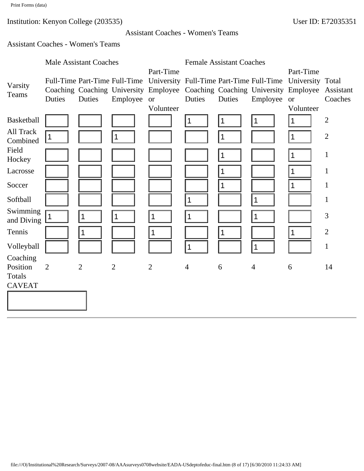#### Assistant Coaches - Women's Teams

## Assistant Coaches - Women's Teams

|                                         | <b>Male Assistant Coaches</b> |                  |                                           | <b>Female Assistant Coaches</b>                                                                                                         |                |        |                               |                                                                                                                                                                              |                                     |
|-----------------------------------------|-------------------------------|------------------|-------------------------------------------|-----------------------------------------------------------------------------------------------------------------------------------------|----------------|--------|-------------------------------|------------------------------------------------------------------------------------------------------------------------------------------------------------------------------|-------------------------------------|
| Varsity<br>Teams                        | Duties                        | Duties           | Full-Time Part-Time Full-Time<br>Employee | Part-Time<br><b>or</b>                                                                                                                  | Duties         | Duties | Employee                      | Part-Time<br>University Full-Time Part-Time Full-Time University Total<br>Coaching Coaching University Employee Coaching Coaching University Employee Assistant<br><b>or</b> | Coaches                             |
| <b>Basketball</b><br>All Track          | $\mathbf 1$                   |                  | $\vert$ 1                                 | Volunteer                                                                                                                               | 1              | 1<br>1 | 1                             | Volunteer<br>1<br>1                                                                                                                                                          | $\overline{2}$<br>$\overline{2}$    |
| Combined<br>Field<br>Hockey<br>Lacrosse |                               |                  |                                           |                                                                                                                                         |                | 1<br>1 |                               | 1<br>1                                                                                                                                                                       | $\mathbf{1}$<br>$\mathbf{1}$        |
| Soccer<br>Softball<br>Swimming          |                               |                  |                                           |                                                                                                                                         | 1              | 1      | 1                             | 1                                                                                                                                                                            | $\mathbf{1}$<br>$\mathbf{1}$        |
| and Diving<br>Tennis<br>Volleyball      | $\mathbf 1$                   | $\mathbf 1$<br>1 | $\vert$ 1                                 | 1<br>1                                                                                                                                  | 1<br>1         | 1      | $\mathbf 1$<br>$\overline{1}$ | 1                                                                                                                                                                            | 3<br>$\overline{2}$<br>$\mathbf{1}$ |
| Coaching<br>Position<br>Totals          | $\overline{2}$                | $\overline{2}$   | $\overline{2}$                            | $\overline{2}$                                                                                                                          | $\overline{4}$ | 6      | $\overline{4}$                | 6                                                                                                                                                                            | 14                                  |
| <b>CAVEAT</b>                           |                               |                  |                                           |                                                                                                                                         |                |        |                               |                                                                                                                                                                              |                                     |
|                                         |                               |                  |                                           |                                                                                                                                         |                |        |                               |                                                                                                                                                                              |                                     |
|                                         |                               |                  |                                           |                                                                                                                                         |                |        |                               |                                                                                                                                                                              |                                     |
|                                         |                               |                  |                                           |                                                                                                                                         |                |        |                               |                                                                                                                                                                              |                                     |
|                                         |                               |                  |                                           |                                                                                                                                         |                |        |                               |                                                                                                                                                                              |                                     |
|                                         |                               |                  |                                           | file:///O /Institutional%20Research/Surveys/2007-08/AAAsurveys0708website/EADA-USdeptofeduc-final.htm (8 of 17) [6/30/2010 11:24:33 AM] |                |        |                               |                                                                                                                                                                              |                                     |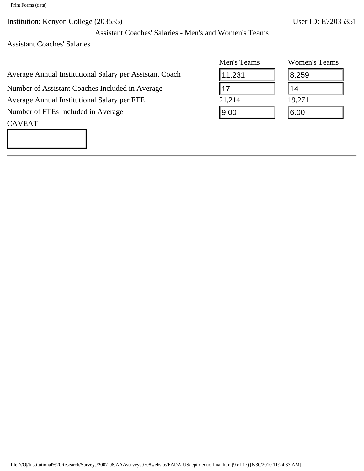Print Forms (data)

Institution: Kenyon College (203535) User ID: E72035351

Assistant Coaches' Salaries - Men's and Women's Teams

Assistant Coaches' Salaries

| Average Annual Institutional Salary per Assistant Coach |  |  |  |
|---------------------------------------------------------|--|--|--|
|---------------------------------------------------------|--|--|--|

# CAVEAT

|                                                                                                                                         | Men's Teams | Women's Teams |
|-----------------------------------------------------------------------------------------------------------------------------------------|-------------|---------------|
| verage Annual Institutional Salary per Assistant Coach                                                                                  | 11,231      | 8,259         |
| Jumber of Assistant Coaches Included in Average                                                                                         | 17          | 14            |
| verage Annual Institutional Salary per FTE                                                                                              | 21,214      | 19,271        |
| Jumber of FTEs Included in Average                                                                                                      | 9.00        | 6.00          |
| <b>AVEAT</b>                                                                                                                            |             |               |
|                                                                                                                                         |             |               |
|                                                                                                                                         |             |               |
|                                                                                                                                         |             |               |
|                                                                                                                                         |             |               |
|                                                                                                                                         |             |               |
|                                                                                                                                         |             |               |
|                                                                                                                                         |             |               |
|                                                                                                                                         |             |               |
|                                                                                                                                         |             |               |
|                                                                                                                                         |             |               |
|                                                                                                                                         |             |               |
|                                                                                                                                         |             |               |
|                                                                                                                                         |             |               |
|                                                                                                                                         |             |               |
|                                                                                                                                         |             |               |
|                                                                                                                                         |             |               |
|                                                                                                                                         |             |               |
|                                                                                                                                         |             |               |
|                                                                                                                                         |             |               |
| file:///O /Institutional%20Research/Surveys/2007-08/AAAsurveys0708website/EADA-USdeptofeduc-final.htm (9 of 17) [6/30/2010 11:24:33 AM] |             |               |

| Women's Teams |  |  |  |
|---------------|--|--|--|
| 8,259         |  |  |  |
| 14            |  |  |  |
| 19,271        |  |  |  |
| 6.00          |  |  |  |
|               |  |  |  |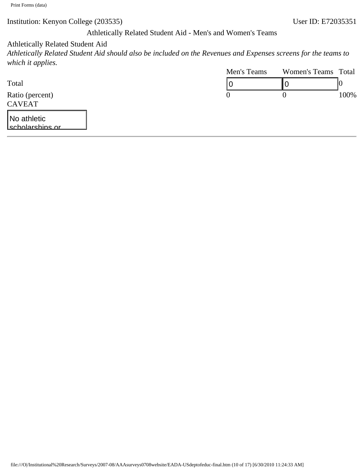## Athletically Related Student Aid - Men's and Women's Teams

## Athletically Related Student Aid

*Athletically Related Student Aid should also be included on the Revenues and Expenses screens for the teams to which it applies.*

|                                                                                                                                          | Men's Teams      | Women's Teams Total      | 0       |
|------------------------------------------------------------------------------------------------------------------------------------------|------------------|--------------------------|---------|
| Total                                                                                                                                    | 0                | $\overline{\phantom{a}}$ |         |
| Ratio (percent)                                                                                                                          | $\boldsymbol{0}$ | $\boldsymbol{0}$         | $100\%$ |
| <b>CAVEAT</b>                                                                                                                            |                  |                          |         |
| No athletic<br><u>lscholarshins or </u>                                                                                                  |                  |                          |         |
|                                                                                                                                          |                  |                          |         |
|                                                                                                                                          |                  |                          |         |
|                                                                                                                                          |                  |                          |         |
|                                                                                                                                          |                  |                          |         |
|                                                                                                                                          |                  |                          |         |
|                                                                                                                                          |                  |                          |         |
|                                                                                                                                          |                  |                          |         |
|                                                                                                                                          |                  |                          |         |
|                                                                                                                                          |                  |                          |         |
|                                                                                                                                          |                  |                          |         |
|                                                                                                                                          |                  |                          |         |
|                                                                                                                                          |                  |                          |         |
|                                                                                                                                          |                  |                          |         |
|                                                                                                                                          |                  |                          |         |
|                                                                                                                                          |                  |                          |         |
|                                                                                                                                          |                  |                          |         |
|                                                                                                                                          |                  |                          |         |
|                                                                                                                                          |                  |                          |         |
|                                                                                                                                          |                  |                          |         |
|                                                                                                                                          |                  |                          |         |
|                                                                                                                                          |                  |                          |         |
|                                                                                                                                          |                  |                          |         |
|                                                                                                                                          |                  |                          |         |
|                                                                                                                                          |                  |                          |         |
|                                                                                                                                          |                  |                          |         |
|                                                                                                                                          |                  |                          |         |
|                                                                                                                                          |                  |                          |         |
| file:///O /Institutional%20Research/Surveys/2007-08/AAAsurveys0708website/EADA-USdeptofeduc-final.htm (10 of 17) [6/30/2010 11:24:33 AM] |                  |                          |         |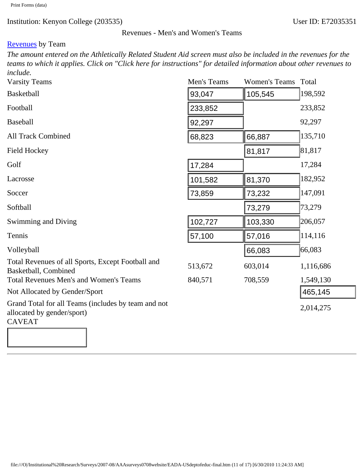#### Revenues - Men's and Women's Teams

## **Revenues** by Team

*The amount entered on the Athletically Related Student Aid screen must also be included in the revenues for the teams to which it applies. Click on "Click here for instructions" for detailed information about other revenues to include.*

| <b>Varsity Teams</b>                                                                                                                     | Men's Teams | Women's Teams Total |           |
|------------------------------------------------------------------------------------------------------------------------------------------|-------------|---------------------|-----------|
| <b>Basketball</b>                                                                                                                        | 93,047      | 105,545             | 198,592   |
| Football                                                                                                                                 | 233,852     |                     | 233,852   |
| <b>Baseball</b>                                                                                                                          | 92,297      |                     | 92,297    |
| <b>All Track Combined</b>                                                                                                                | 68,823      | 66,887              | 135,710   |
| <b>Field Hockey</b>                                                                                                                      |             | 81,817              | 81,817    |
| Golf                                                                                                                                     | 17,284      |                     | 17,284    |
| Lacrosse                                                                                                                                 | 101,582     | 81,370              | 182,952   |
| Soccer                                                                                                                                   | 73,859      | 73,232              | 147,091   |
| Softball                                                                                                                                 |             | 73,279              | 73,279    |
| Swimming and Diving                                                                                                                      | 102,727     | 103,330             | 206,057   |
| Tennis                                                                                                                                   | 57,100      | 57,016              | 114,116   |
| Volleyball                                                                                                                               |             | 66,083              | 66,083    |
| Total Revenues of all Sports, Except Football and<br>Basketball, Combined                                                                | 513,672     | 603,014             | 1,116,686 |
| <b>Total Revenues Men's and Women's Teams</b>                                                                                            | 840,571     | 708,559             | 1,549,130 |
| Not Allocated by Gender/Sport                                                                                                            |             |                     | 465,145   |
| Grand Total for all Teams (includes by team and not<br>allocated by gender/sport)<br><b>CAVEAT</b>                                       |             |                     | 2,014,275 |
|                                                                                                                                          |             |                     |           |
| file:///O /Institutional%20Research/Surveys/2007-08/AAAsurveys0708website/EADA-USdeptofeduc-final.htm (11 of 17) [6/30/2010 11:24:33 AM] |             |                     |           |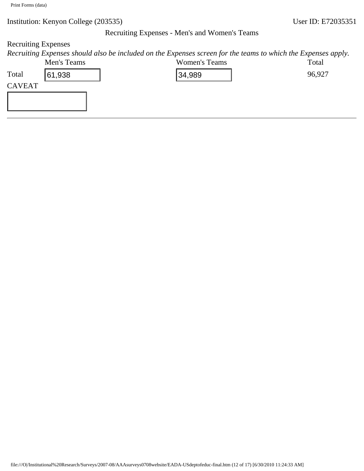#### Recruiting Expenses - Men's and Women's Teams

# Recruiting Expenses

*Recruiting Expenses should also be included on the Expenses screen for the teams to which the Expenses apply.*<br>Moris Topps

|                | Men's Teams |                                                                                                                                          | Women's Teams | Total  |
|----------------|-------------|------------------------------------------------------------------------------------------------------------------------------------------|---------------|--------|
| Total          | 61,938      |                                                                                                                                          | 34,989        | 96,927 |
| ${\sf CAVEAT}$ |             |                                                                                                                                          |               |        |
|                |             |                                                                                                                                          |               |        |
|                |             |                                                                                                                                          |               |        |
|                |             |                                                                                                                                          |               |        |
|                |             |                                                                                                                                          |               |        |
|                |             |                                                                                                                                          |               |        |
|                |             |                                                                                                                                          |               |        |
|                |             |                                                                                                                                          |               |        |
|                |             |                                                                                                                                          |               |        |
|                |             |                                                                                                                                          |               |        |
|                |             |                                                                                                                                          |               |        |
|                |             |                                                                                                                                          |               |        |
|                |             |                                                                                                                                          |               |        |
|                |             |                                                                                                                                          |               |        |
|                |             |                                                                                                                                          |               |        |
|                |             |                                                                                                                                          |               |        |
|                |             |                                                                                                                                          |               |        |
|                |             |                                                                                                                                          |               |        |
|                |             |                                                                                                                                          |               |        |
|                |             |                                                                                                                                          |               |        |
|                |             |                                                                                                                                          |               |        |
|                |             |                                                                                                                                          |               |        |
|                |             |                                                                                                                                          |               |        |
|                |             |                                                                                                                                          |               |        |
|                |             |                                                                                                                                          |               |        |
|                |             |                                                                                                                                          |               |        |
|                |             |                                                                                                                                          |               |        |
|                |             |                                                                                                                                          |               |        |
|                |             |                                                                                                                                          |               |        |
|                |             |                                                                                                                                          |               |        |
|                |             |                                                                                                                                          |               |        |
|                |             |                                                                                                                                          |               |        |
|                |             |                                                                                                                                          |               |        |
|                |             |                                                                                                                                          |               |        |
|                |             |                                                                                                                                          |               |        |
|                |             |                                                                                                                                          |               |        |
|                |             | file:///O /Institutional%20Research/Surveys/2007-08/AAAsurveys0708website/EADA-USdeptofeduc-final.htm (12 of 17) [6/30/2010 11:24:33 AM] |               |        |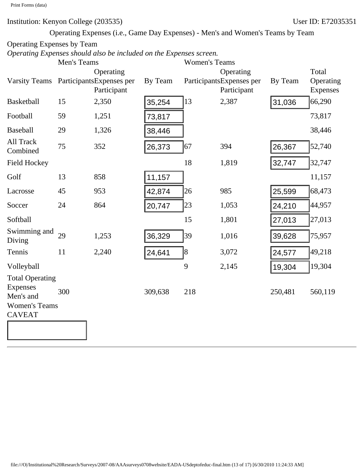Operating Expenses (i.e., Game Day Expenses) - Men's and Women's Teams by Team

# Operating Expenses by Team

*Operating Expenses should also be included on the Expenses screen.*

|                                                                                          | Men's Teams                                                                                                                              |             |         | <b>Women's Teams</b> |                                       |         |                    |
|------------------------------------------------------------------------------------------|------------------------------------------------------------------------------------------------------------------------------------------|-------------|---------|----------------------|---------------------------------------|---------|--------------------|
| Varsity Teams ParticipantsExpenses per                                                   |                                                                                                                                          | Operating   | By Team |                      | Operating<br>ParticipantsExpenses per | By Team | Total<br>Operating |
|                                                                                          |                                                                                                                                          | Participant |         |                      | Participant                           |         | Expenses           |
| <b>Basketball</b>                                                                        | 15                                                                                                                                       | 2,350       | 35,254  | 13                   | 2,387                                 | 31,036  | 66,290             |
| Football                                                                                 | 59                                                                                                                                       | 1,251       | 73,817  |                      |                                       |         | 73,817             |
| <b>Baseball</b>                                                                          | 29                                                                                                                                       | 1,326       | 38,446  |                      |                                       |         | 38,446             |
| All Track<br>Combined                                                                    | 75                                                                                                                                       | 352         | 26,373  | 67                   | 394                                   | 26,367  | 52,740             |
| <b>Field Hockey</b>                                                                      |                                                                                                                                          |             |         | 18                   | 1,819                                 | 32,747  | 32,747             |
| Golf                                                                                     | 13                                                                                                                                       | 858         | 11,157  |                      |                                       |         | 11,157             |
| Lacrosse                                                                                 | 45                                                                                                                                       | 953         | 42,874  | 26                   | 985                                   | 25,599  | 68,473             |
| Soccer                                                                                   | 24                                                                                                                                       | 864         | 20,747  | 23                   | 1,053                                 | 24,210  | 44,957             |
| Softball                                                                                 |                                                                                                                                          |             |         | 15                   | 1,801                                 | 27,013  | 27,013             |
| Swimming and<br>Diving                                                                   | 29                                                                                                                                       | 1,253       | 36,329  | 39                   | 1,016                                 | 39,628  | 75,957             |
| Tennis                                                                                   | 11                                                                                                                                       | 2,240       | 24,641  | 8                    | 3,072                                 | 24,577  | 49,218             |
| Volleyball                                                                               |                                                                                                                                          |             |         | 9                    | 2,145                                 | 19,304  | 19,304             |
| <b>Total Operating</b><br>Expenses<br>Men's and<br><b>Women's Teams</b><br><b>CAVEAT</b> | 300                                                                                                                                      |             | 309,638 | 218                  |                                       | 250,481 | 560,119            |
|                                                                                          |                                                                                                                                          |             |         |                      |                                       |         |                    |
|                                                                                          |                                                                                                                                          |             |         |                      |                                       |         |                    |
|                                                                                          |                                                                                                                                          |             |         |                      |                                       |         |                    |
|                                                                                          |                                                                                                                                          |             |         |                      |                                       |         |                    |
|                                                                                          |                                                                                                                                          |             |         |                      |                                       |         |                    |
|                                                                                          |                                                                                                                                          |             |         |                      |                                       |         |                    |
|                                                                                          |                                                                                                                                          |             |         |                      |                                       |         |                    |
|                                                                                          |                                                                                                                                          |             |         |                      |                                       |         |                    |
|                                                                                          | file:///O /Institutional%20Research/Surveys/2007-08/AAAsurveys0708website/EADA-USdeptofeduc-final.htm (13 of 17) [6/30/2010 11:24:33 AM] |             |         |                      |                                       |         |                    |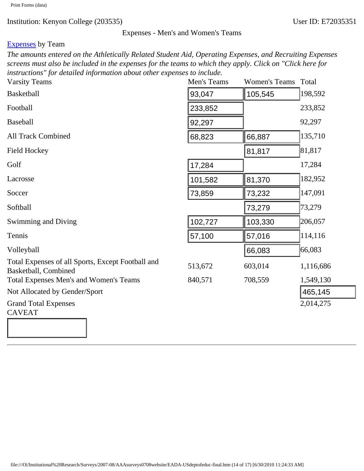## Expenses - Men's and Women's Teams

## [Expenses](javascript:openglossary(3)) by Team

*The amounts entered on the Athletically Related Student Aid, Operating Expenses, and Recruiting Expenses screens must also be included in the expenses for the teams to which they apply. Click on "Click here for instructions" for detailed information about other expenses to include.*

| <b>Varsity Teams</b>                                                                                                                     | Men's Teams | <b>Women's Teams</b> | Total     |
|------------------------------------------------------------------------------------------------------------------------------------------|-------------|----------------------|-----------|
| <b>Basketball</b>                                                                                                                        | 93,047      | 105,545              | 198,592   |
| Football                                                                                                                                 | 233,852     |                      | 233,852   |
| <b>Baseball</b>                                                                                                                          | 92,297      |                      | 92,297    |
| <b>All Track Combined</b>                                                                                                                | 68,823      | 66,887               | 135,710   |
| <b>Field Hockey</b>                                                                                                                      |             | 81,817               | 81,817    |
| Golf                                                                                                                                     | 17,284      |                      | 17,284    |
| Lacrosse                                                                                                                                 | 101,582     | 81,370               | 182,952   |
| Soccer                                                                                                                                   | 73,859      | 73,232               | 147,091   |
| Softball                                                                                                                                 |             | 73,279               | 73,279    |
| Swimming and Diving                                                                                                                      | 102,727     | 103,330              | 206,057   |
| Tennis                                                                                                                                   | 57,100      | 57,016               | 114,116   |
| Volleyball                                                                                                                               |             | 66,083               | 66,083    |
| Total Expenses of all Sports, Except Football and<br>Basketball, Combined                                                                | 513,672     | 603,014              | 1,116,686 |
| Total Expenses Men's and Women's Teams                                                                                                   | 840,571     | 708,559              | 1,549,130 |
| Not Allocated by Gender/Sport                                                                                                            |             |                      | 465,145   |
| <b>Grand Total Expenses</b><br><b>CAVEAT</b>                                                                                             |             |                      | 2,014,275 |
|                                                                                                                                          |             |                      |           |
| file:///O /Institutional%20Research/Surveys/2007-08/AAAsurveys0708website/EADA-USdeptofeduc-final.htm (14 of 17) [6/30/2010 11:24:33 AM] |             |                      |           |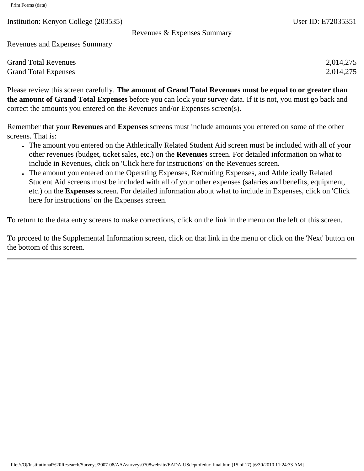Revenues & Expenses Summary

Revenues and Expenses Summary

| <b>Grand Total Revenues</b> | 2,014,275 |
|-----------------------------|-----------|
| <b>Grand Total Expenses</b> | 2,014,275 |

Please review this screen carefully. **The amount of Grand Total Revenues must be equal to or greater than the amount of Grand Total Expenses** before you can lock your survey data. If it is not, you must go back and correct the amounts you entered on the Revenues and/or Expenses screen(s).

Remember that your **Revenues** and **Expenses** screens must include amounts you entered on some of the other screens. That is:

- The amount you entered on the Athletically Related Student Aid screen must be included with all of your other revenues (budget, ticket sales, etc.) on the **Revenues** screen. For detailed information on what to include in Revenues, click on 'Click here for instructions' on the Revenues screen.
- The amount you entered on the Operating Expenses, Recruiting Expenses, and Athletically Related Student Aid screens must be included with all of your other expenses (salaries and benefits, equipment, etc.) on the **Expenses** screen. For detailed information about what to include in Expenses, click on 'Click here for instructions' on the Expenses screen.

To return to the data entry screens to make corrections, click on the link in the menu on the left of this screen.

To proceed to the Supplemental Information screen, click on that link in the menu or click on the 'Next' button on the bottom of this screen.